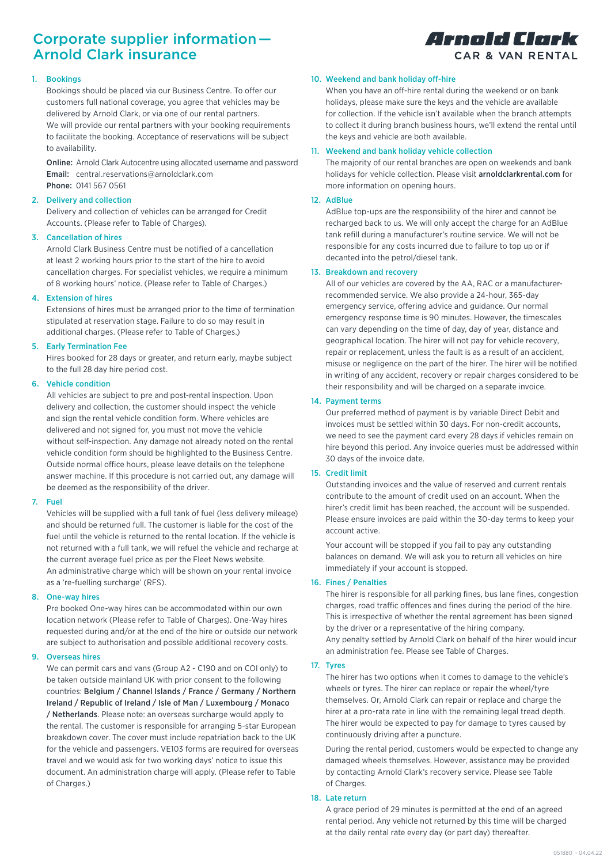# Corporate supplier information — Arnold Clark insurance

# 1. Bookings

Bookings should be placed via our Business Centre. To offer our customers full national coverage, you agree that vehicles may be delivered by Arnold Clark, or via one of our rental partners. We will provide our rental partners with your booking requirements to facilitate the booking. Acceptance of reservations will be subject to availability.

Online: Arnold Clark Autocentre using allocated username and password Email: central.reservations@arnoldclark.com Phone: 0141 567 0561

## 2. Delivery and collection

Delivery and collection of vehicles can be arranged for Credit Accounts. (Please refer to Table of Charges).

## 3. Cancellation of hires

Arnold Clark Business Centre must be notified of a cancellation at least 2 working hours prior to the start of the hire to avoid cancellation charges. For specialist vehicles, we require a minimum of 8 working hours' notice. (Please refer to Table of Charges.)

## 4. Extension of hires

Extensions of hires must be arranged prior to the time of termination stipulated at reservation stage. Failure to do so may result in additional charges. (Please refer to Table of Charges.)

# 5. Early Termination Fee

Hires booked for 28 days or greater, and return early, maybe subject to the full 28 day hire period cost.

## 6. Vehicle condition

All vehicles are subject to pre and post-rental inspection. Upon delivery and collection, the customer should inspect the vehicle and sign the rental vehicle condition form. Where vehicles are delivered and not signed for, you must not move the vehicle without self-inspection. Any damage not already noted on the rental vehicle condition form should be highlighted to the Business Centre. Outside normal office hours, please leave details on the telephone answer machine. If this procedure is not carried out, any damage will be deemed as the responsibility of the driver.

#### 7. Fuel

Vehicles will be supplied with a full tank of fuel (less delivery mileage) and should be returned full. The customer is liable for the cost of the fuel until the vehicle is returned to the rental location. If the vehicle is not returned with a full tank, we will refuel the vehicle and recharge at the current average fuel price as per the Fleet News website. An administrative charge which will be shown on your rental invoice as a 're-fuelling surcharge' (RFS).

# 8. One-way hires

Pre booked One-way hires can be accommodated within our own location network (Please refer to Table of Charges). One-Way hires requested during and/or at the end of the hire or outside our network are subject to authorisation and possible additional recovery costs.

# 9. Overseas hires

We can permit cars and vans (Group A2 - C190 and on COI only) to be taken outside mainland UK with prior consent to the following countries: Belgium / Channel Islands / France / Germany / Northern Ireland / Republic of Ireland / Isle of Man / Luxembourg / Monaco / Netherlands. Please note: an overseas surcharge would apply to the rental. The customer is responsible for arranging 5-star European breakdown cover. The cover must include repatriation back to the UK for the vehicle and passengers. VE103 forms are required for overseas travel and we would ask for two working days' notice to issue this document. An administration charge will apply. (Please refer to Table of Charges.)

# Arnold Clark CAR & VAN RENTAL

### 10. Weekend and bank holiday off-hire

When you have an off-hire rental during the weekend or on bank holidays, please make sure the keys and the vehicle are available for collection. If the vehicle isn't available when the branch attempts to collect it during branch business hours, we'll extend the rental until the keys and vehicle are both available.

## 11. Weekend and bank holiday vehicle collection

The majority of our rental branches are open on weekends and bank holidays for vehicle collection. Please visit arnoldclarkrental.com for more information on opening hours.

## 12. AdBlue

AdBlue top-ups are the responsibility of the hirer and cannot be recharged back to us. We will only accept the charge for an AdBlue tank refill during a manufacturer's routine service. We will not be responsible for any costs incurred due to failure to top up or if decanted into the petrol/diesel tank.

## 13. Breakdown and recovery

All of our vehicles are covered by the AA, RAC or a manufacturerrecommended service. We also provide a 24-hour, 365-day emergency service, offering advice and guidance. Our normal emergency response time is 90 minutes. However, the timescales can vary depending on the time of day, day of year, distance and geographical location. The hirer will not pay for vehicle recovery, repair or replacement, unless the fault is as a result of an accident, misuse or negligence on the part of the hirer. The hirer will be notified in writing of any accident, recovery or repair charges considered to be their responsibility and will be charged on a separate invoice.

## 14. Payment terms

Our preferred method of payment is by variable Direct Debit and invoices must be settled within 30 days. For non-credit accounts, we need to see the payment card every 28 days if vehicles remain on hire beyond this period. Any invoice queries must be addressed within 30 days of the invoice date.

# 15. Credit limit

Outstanding invoices and the value of reserved and current rentals contribute to the amount of credit used on an account. When the hirer's credit limit has been reached, the account will be suspended. Please ensure invoices are paid within the 30-day terms to keep your account active.

Your account will be stopped if you fail to pay any outstanding balances on demand. We will ask you to return all vehicles on hire immediately if your account is stopped.

### 16. Fines / Penalties

The hirer is responsible for all parking fines, bus lane fines, congestion charges, road traffic offences and fines during the period of the hire. This is irrespective of whether the rental agreement has been signed by the driver or a representative of the hiring company. Any penalty settled by Arnold Clark on behalf of the hirer would incur an administration fee. Please see Table of Charges.

### 17. Tyres

The hirer has two options when it comes to damage to the vehicle's wheels or tyres. The hirer can replace or repair the wheel/tyre themselves. Or, Arnold Clark can repair or replace and charge the hirer at a pro-rata rate in line with the remaining legal tread depth. The hirer would be expected to pay for damage to tyres caused by continuously driving after a puncture.

During the rental period, customers would be expected to change any damaged wheels themselves. However, assistance may be provided by contacting Arnold Clark's recovery service. Please see Table of Charges.

#### 18. Late return

A grace period of 29 minutes is permitted at the end of an agreed rental period. Any vehicle not returned by this time will be charged at the daily rental rate every day (or part day) thereafter.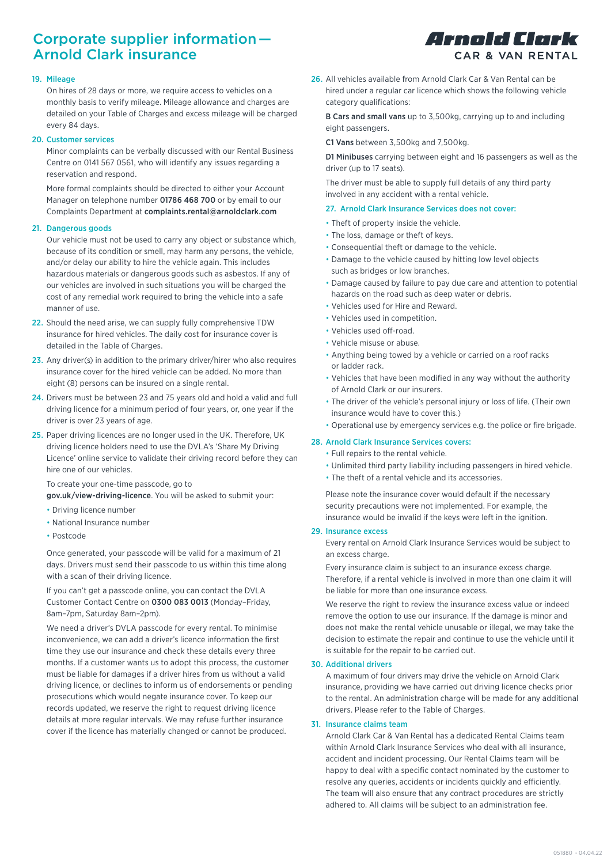# Corporate supplier information — Arnold Clark insurance

# Arnold Clork CAR & VAN RENTAL

### 19. Mileage

On hires of 28 days or more, we require access to vehicles on a monthly basis to verify mileage. Mileage allowance and charges are detailed on your Table of Charges and excess mileage will be charged every 84 days.

## 20. Customer services

Minor complaints can be verbally discussed with our Rental Business Centre on 0141 567 0561, who will identify any issues regarding a reservation and respond.

More formal complaints should be directed to either your Account Manager on telephone number 01786 468 700 or by email to our Complaints Department at complaints.rental@arnoldclark.com

# 21. Dangerous goods

Our vehicle must not be used to carry any object or substance which, because of its condition or smell, may harm any persons, the vehicle, and/or delay our ability to hire the vehicle again. This includes hazardous materials or dangerous goods such as asbestos. If any of our vehicles are involved in such situations you will be charged the cost of any remedial work required to bring the vehicle into a safe manner of use.

- 22. Should the need arise, we can supply fully comprehensive TDW insurance for hired vehicles. The daily cost for insurance cover is detailed in the Table of Charges.
- 23. Any driver(s) in addition to the primary driver/hirer who also requires insurance cover for the hired vehicle can be added. No more than eight (8) persons can be insured on a single rental.
- 24. Drivers must be between 23 and 75 years old and hold a valid and full driving licence for a minimum period of four years, or, one year if the driver is over 23 years of age.
- 25. Paper driving licences are no longer used in the UK. Therefore, UK driving licence holders need to use the DVLA's 'Share My Driving Licence' online service to validate their driving record before they can hire one of our vehicles.

To create your one-time passcode, go to

gov.uk/view-driving-licence. You will be asked to submit your:

- Driving licence number
- National Insurance number
- Postcode

Once generated, your passcode will be valid for a maximum of 21 days. Drivers must send their passcode to us within this time along with a scan of their driving licence.

If you can't get a passcode online, you can contact the DVLA Customer Contact Centre on 0300 083 0013 (Monday–Friday, 8am–7pm, Saturday 8am–2pm).

We need a driver's DVLA passcode for every rental. To minimise inconvenience, we can add a driver's licence information the first time they use our insurance and check these details every three months. If a customer wants us to adopt this process, the customer must be liable for damages if a driver hires from us without a valid driving licence, or declines to inform us of endorsements or pending prosecutions which would negate insurance cover. To keep our records updated, we reserve the right to request driving licence details at more regular intervals. We may refuse further insurance cover if the licence has materially changed or cannot be produced.

26. All vehicles available from Arnold Clark Car & Van Rental can be hired under a regular car licence which shows the following vehicle category qualifications:

B Cars and small vans up to 3,500kg, carrying up to and including eight passengers.

#### C1 Vans between 3,500kg and 7,500kg.

D1 Minibuses carrying between eight and 16 passengers as well as the driver (up to 17 seats).

The driver must be able to supply full details of any third party involved in any accident with a rental vehicle.

## 27. Arnold Clark Insurance Services does not cover:

- Theft of property inside the vehicle.
- The loss, damage or theft of keys.
- Consequential theft or damage to the vehicle.
- Damage to the vehicle caused by hitting low level objects such as bridges or low branches.
- Damage caused by failure to pay due care and attention to potential hazards on the road such as deep water or debris.
- Vehicles used for Hire and Reward.
- Vehicles used in competition.
- Vehicles used off-road.
- Vehicle misuse or abuse.
- Anything being towed by a vehicle or carried on a roof racks or ladder rack.
- Vehicles that have been modified in any way without the authority of Arnold Clark or our insurers.
- The driver of the vehicle's personal injury or loss of life. (Their own insurance would have to cover this.)
- Operational use by emergency services e.g. the police or fire brigade.

## 28. Arnold Clark Insurance Services covers:

- Full repairs to the rental vehicle.
- Unlimited third party liability including passengers in hired vehicle.
- The theft of a rental vehicle and its accessories.

Please note the insurance cover would default if the necessary security precautions were not implemented. For example, the insurance would be invalid if the keys were left in the ignition.

#### 29. Insurance excess

Every rental on Arnold Clark Insurance Services would be subject to an excess charge.

Every insurance claim is subject to an insurance excess charge. Therefore, if a rental vehicle is involved in more than one claim it will be liable for more than one insurance excess.

We reserve the right to review the insurance excess value or indeed remove the option to use our insurance. If the damage is minor and does not make the rental vehicle unusable or illegal, we may take the decision to estimate the repair and continue to use the vehicle until it is suitable for the repair to be carried out.

# 30. Additional drivers

A maximum of four drivers may drive the vehicle on Arnold Clark insurance, providing we have carried out driving licence checks prior to the rental. An administration charge will be made for any additional drivers. Please refer to the Table of Charges.

# 31. Insurance claims team

Arnold Clark Car & Van Rental has a dedicated Rental Claims team within Arnold Clark Insurance Services who deal with all insurance, accident and incident processing. Our Rental Claims team will be happy to deal with a specific contact nominated by the customer to resolve any queries, accidents or incidents quickly and efficiently. The team will also ensure that any contract procedures are strictly adhered to. All claims will be subject to an administration fee.